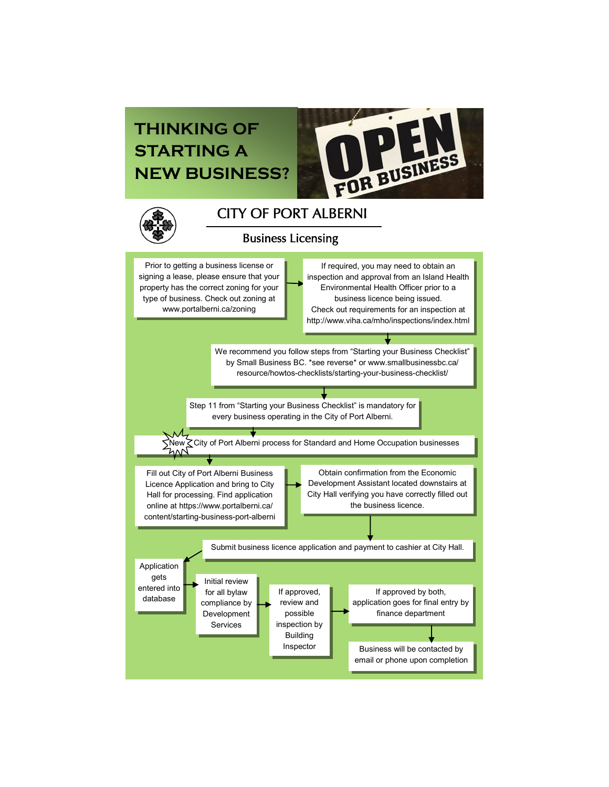